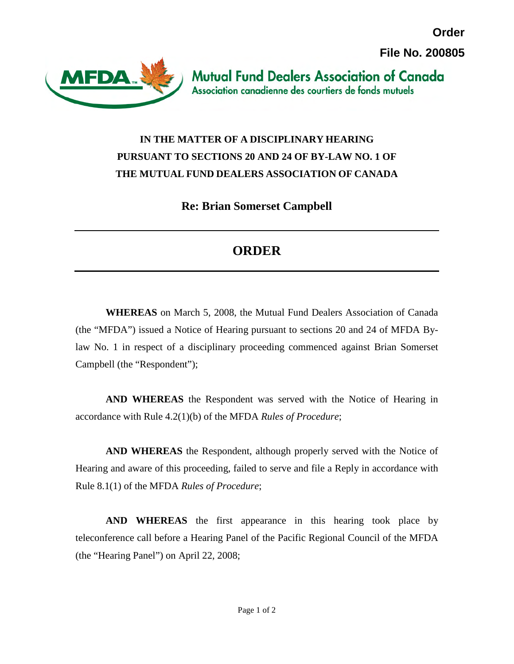**Order File No. 200805**



**Mutual Fund Dealers Association of Canada** Association canadienne des courtiers de fonds mutuels

## **IN THE MATTER OF A DISCIPLINARY HEARING PURSUANT TO SECTIONS 20 AND 24 OF BY-LAW NO. 1 OF THE MUTUAL FUND DEALERS ASSOCIATION OF CANADA**

**Re: Brian Somerset Campbell** 

## **ORDER**

**WHEREAS** on March 5, 2008, the Mutual Fund Dealers Association of Canada (the "MFDA") issued a Notice of Hearing pursuant to sections 20 and 24 of MFDA Bylaw No. 1 in respect of a disciplinary proceeding commenced against Brian Somerset Campbell (the "Respondent");

**AND WHEREAS** the Respondent was served with the Notice of Hearing in accordance with Rule 4.2(1)(b) of the MFDA *Rules of Procedure*;

**AND WHEREAS** the Respondent, although properly served with the Notice of Hearing and aware of this proceeding, failed to serve and file a Reply in accordance with Rule 8.1(1) of the MFDA *Rules of Procedure*;

**AND WHEREAS** the first appearance in this hearing took place by teleconference call before a Hearing Panel of the Pacific Regional Council of the MFDA (the "Hearing Panel") on April 22, 2008;